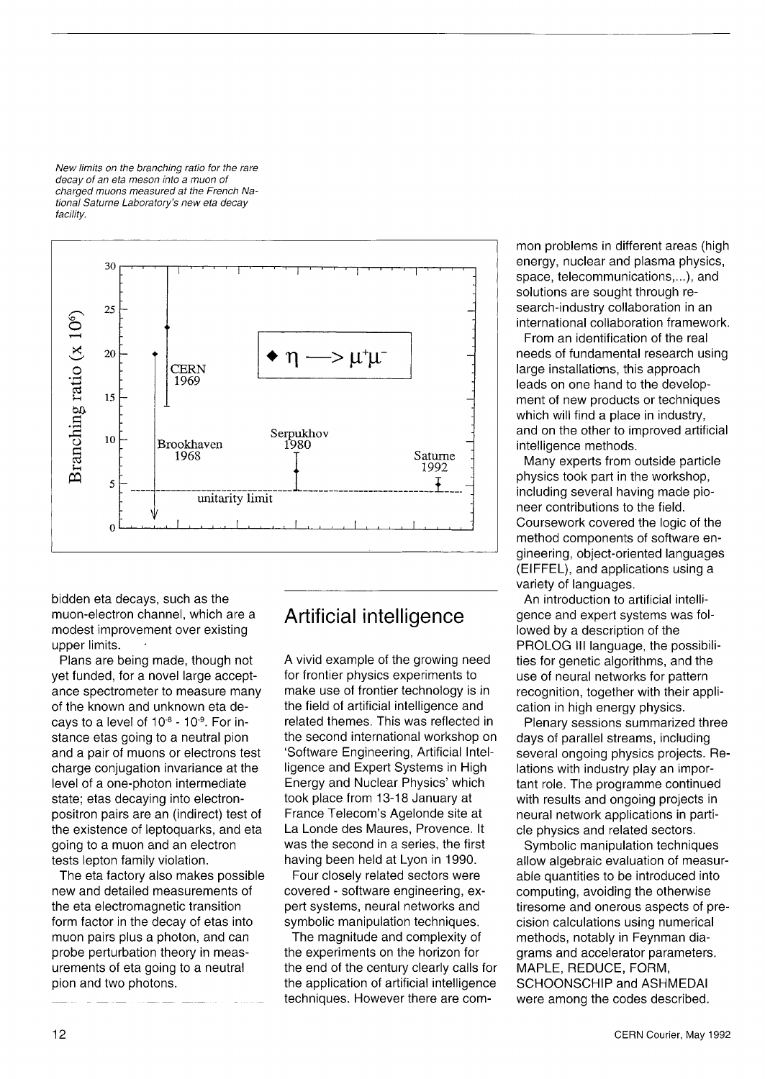*New limits on the branching ratio for the rare decay of an eta meson into a muon of charged muons measured at the French National Saturne Laboratory's new eta decay facility.* 



bidden eta decays, such as the muon-electron channel, which are a modest improvement over existing upper limits.

Plans are being made, though not yet funded, for a novel large acceptance spectrometer to measure many of the known and unknown eta decays to a level of 10<sup>-8</sup> - 10<sup>-9</sup>. For instance etas going to a neutral pion and a pair of muons or electrons test charge conjugation invariance at the level of a one-photon intermediate state; etas decaying into electronpositron pairs are an (indirect) test of the existence of leptoquarks, and eta going to a muon and an electron tests lepton family violation.

The eta factory also makes possible new and detailed measurements of the eta electromagnetic transition form factor in the decay of etas into muon pairs plus a photon, and can probe perturbation theory in measurements of eta going to a neutral pion and two photons.

## Artificial intelligence

A vivid example of the growing need for frontier physics experiments to make use of frontier technology is in the field of artificial intelligence and related themes. This was reflected in the second international workshop on 'Software Engineering, Artificial Intelligence and Expert Systems in High Energy and Nuclear Physics' which took place from 13-18 January at France Telecom's Agelonde site at La Londe des Maures, Provence. It was the second in a series, the first having been held at Lyon in 1990.

Four closely related sectors were covered - software engineering, expert systems, neural networks and symbolic manipulation techniques.

The magnitude and complexity of the experiments on the horizon for the end of the century clearly calls for the application of artificial intelligence techniques. However there are common problems in different areas (high energy, nuclear and plasma physics, space, telecommunications,...), and solutions are sought through research-industry collaboration in an international collaboration framework.

From an identification of the real needs of fundamental research using large installations, this approach leads on one hand to the development of new products or techniques which will find a place in industry, and on the other to improved artificial intelligence methods.

Many experts from outside particle physics took part in the workshop, including several having made pioneer contributions to the field. Coursework covered the logic of the method components of software engineering, object-oriented languages (EIFFEL), and applications using a variety of languages.

An introduction to artificial intelligence and expert systems was followed by a description of the PROLOG III language, the possibilities for genetic algorithms, and the use of neural networks for pattern recognition, together with their application in high energy physics.

Plenary sessions summarized three days of parallel streams, including several ongoing physics projects. Relations with industry play an important role. The programme continued with results and ongoing projects in neural network applications in particle physics and related sectors.

Symbolic manipulation techniques allow algebraic evaluation of measurable quantities to be introduced into computing, avoiding the otherwise tiresome and onerous aspects of precision calculations using numerical methods, notably in Feynman diagrams and accelerator parameters. MAPLE, REDUCE, FORM, SCHOONSCHIP and ASHMEDAI were among the codes described.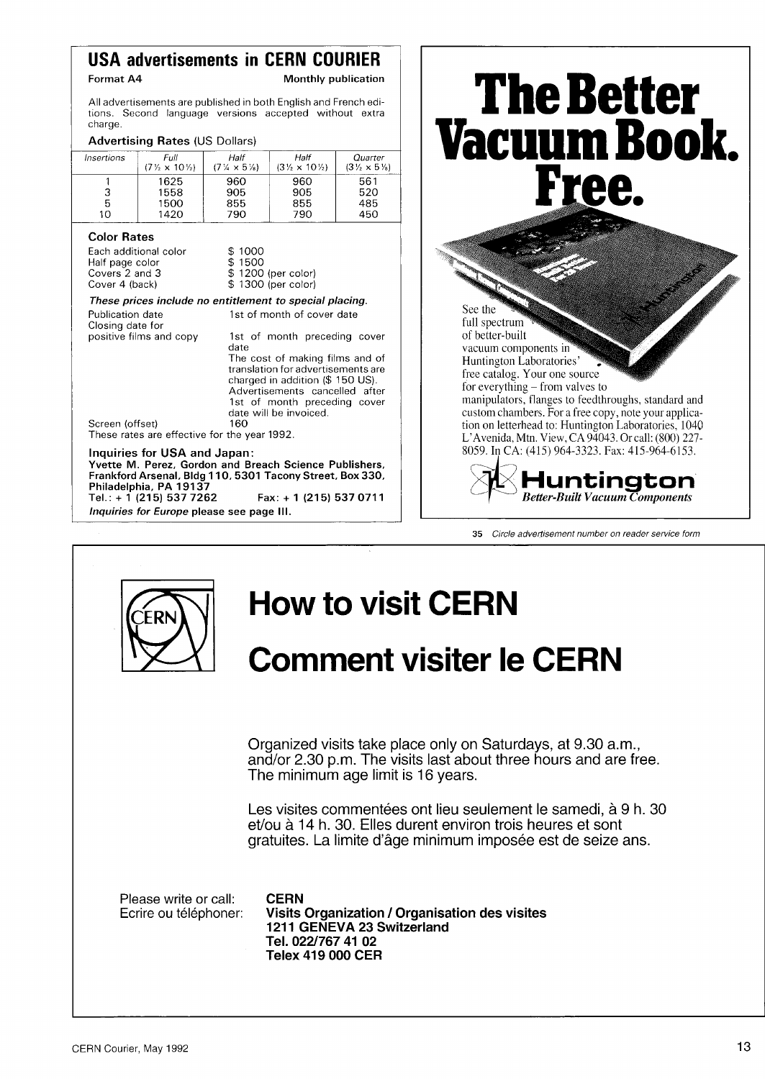## **USA advertisements in CERN COURIER**

**Format A4 1988** Monthly publication

All advertisements are published in both English and French editions. Second language versions accepted without extra charge.

## Advertising Rates (US Dollars)

| Insertions | Full<br>$(7\frac{1}{2} \times 10\frac{1}{2})$ | Half<br>$(7\% \times 5\%)$ | Half<br>$(3\frac{1}{2} \times 10\frac{1}{2})$ | Quarter<br>$(3\frac{1}{2} \times 5\frac{1}{8})$ |
|------------|-----------------------------------------------|----------------------------|-----------------------------------------------|-------------------------------------------------|
|            | 1625                                          | 960                        | 960                                           | 561                                             |
| 3          | 1558                                          | 905                        | 905                                           | 520                                             |
| 5          | 1500                                          | 855                        | 855                                           | 485                                             |
| 10         | 1420                                          | 790                        | 790                                           | 450                                             |

### Color Rates

| Each additional color | \$1000             |
|-----------------------|--------------------|
| Half page color       | \$1500             |
| Covers 2 and 3        | \$1200 (per color) |
| Cover 4 (back)        | \$1300 (per color) |

#### *These prices include no entitlement to special placing.*  Publication date 1st of month of cover date

| i uviitativit uate<br>Closing date for | ist of filofith of cover date                                                                                                                                                                         |
|----------------------------------------|-------------------------------------------------------------------------------------------------------------------------------------------------------------------------------------------------------|
| positive films and copy                | 1st of month preceding cover<br>date                                                                                                                                                                  |
|                                        | The cost of making films and of<br>translation for advertisements are<br>charged in addition (\$ 150 US).<br>Advertisements cancelled after<br>1st of month preceding cover<br>date will be invoiced. |

Screen (offset) 160 These rates are effective for the year 1992.

### Inquiries for USA and Japan:

**Yvette M . Perez, Gordon and Breach Science Publishers, Frankford Arsenal, Bldg 110 , 530 1 Tacony Street, Box 330 , Philadelphia, PA 1913 7 Tel.: + 1 (21 5) 53 7 726 2 Fax: + 1 (21 5) 53 7 071 1** 

*Inquiries for Europe* **please see page III.** 



**35** *Circle advertisement number on reader service form* 



# **How to visit CERN**

# **Comment visiter le CERN**

Organized visits take place only on Saturdays, at 9.30 a.m., and/or 2.30 p.m. The visits last about three hours and are free. The minimum age limit is 16 years.

Les visites commentées ont lieu seulement le samedi, à 9 h. 30 et/ou à 14 h. 30. Elles durent environ trois heures et sont gratuites. La limite d'âge minimum imposée est de seize ans.

Please write or call: **CERN**<br>Ecrire ou téléphoner: **Visits** 

**Visits Organization / Organisation des visites 1211 GENEVA 23 Switzerland Tel. 022/767 41 02 Telex 419 000 CER**